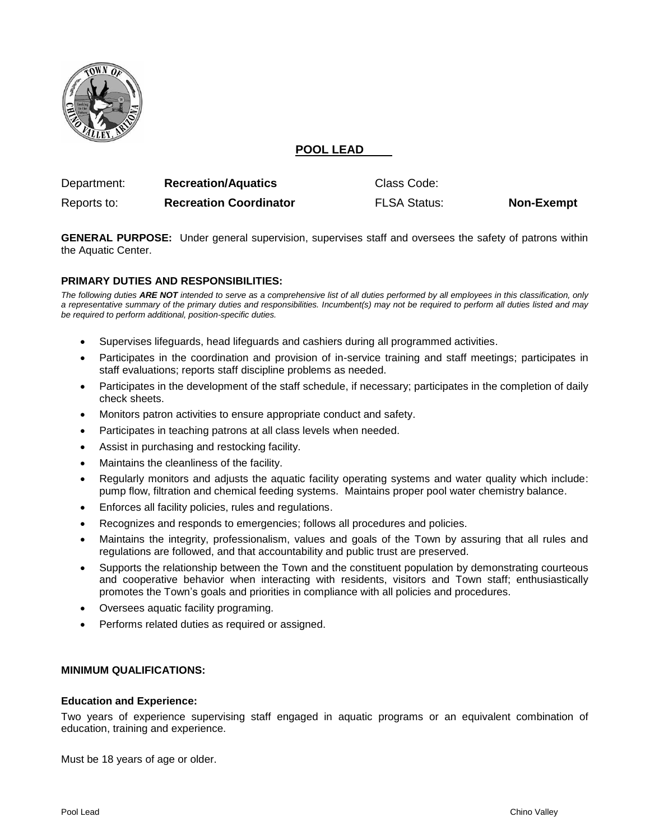

# **POOL LEAD**

| Department: | <b>Recreation/Aquatics</b>    | Class Code:         |                   |
|-------------|-------------------------------|---------------------|-------------------|
| Reports to: | <b>Recreation Coordinator</b> | <b>FLSA Status:</b> | <b>Non-Exempt</b> |

**GENERAL PURPOSE:** Under general supervision, supervises staff and oversees the safety of patrons within the Aquatic Center.

### **PRIMARY DUTIES AND RESPONSIBILITIES:**

*The following duties ARE NOT intended to serve as a comprehensive list of all duties performed by all employees in this classification, only a representative summary of the primary duties and responsibilities. Incumbent(s) may not be required to perform all duties listed and may be required to perform additional, position-specific duties.*

- Supervises lifeguards, head lifeguards and cashiers during all programmed activities.
- Participates in the coordination and provision of in-service training and staff meetings; participates in staff evaluations; reports staff discipline problems as needed.
- Participates in the development of the staff schedule, if necessary; participates in the completion of daily check sheets.
- Monitors patron activities to ensure appropriate conduct and safety.
- Participates in teaching patrons at all class levels when needed.
- Assist in purchasing and restocking facility.
- Maintains the cleanliness of the facility.
- Regularly monitors and adjusts the aquatic facility operating systems and water quality which include: pump flow, filtration and chemical feeding systems. Maintains proper pool water chemistry balance.
- Enforces all facility policies, rules and regulations.
- Recognizes and responds to emergencies; follows all procedures and policies.
- Maintains the integrity, professionalism, values and goals of the Town by assuring that all rules and regulations are followed, and that accountability and public trust are preserved.
- Supports the relationship between the Town and the constituent population by demonstrating courteous and cooperative behavior when interacting with residents, visitors and Town staff; enthusiastically promotes the Town's goals and priorities in compliance with all policies and procedures.
- Oversees aquatic facility programing.
- Performs related duties as required or assigned.

# **MINIMUM QUALIFICATIONS:**

#### **Education and Experience:**

Two years of experience supervising staff engaged in aquatic programs or an equivalent combination of education, training and experience.

Must be 18 years of age or older.